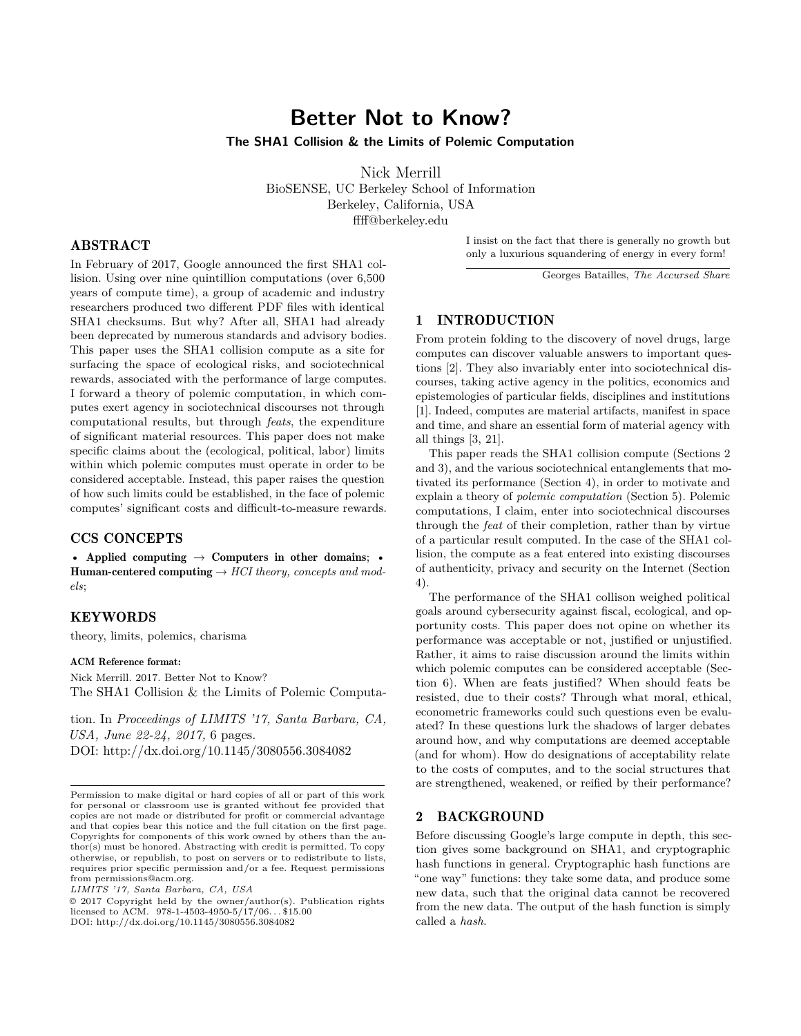# **Better Not to Know?**

**The SHA1 Collision & the Limits of Polemic Computation**

Nick Merrill BioSENSE, UC Berkeley School of Information Berkeley, California, USA ffff@berkeley.edu

## ABSTRACT

In February of 2017, Google announced the first SHA1 collision. Using over nine quintillion computations (over 6,500 years of compute time), a group of academic and industry researchers produced two different PDF files with identical SHA1 checksums. But why? After all, SHA1 had already been deprecated by numerous standards and advisory bodies. This paper uses the SHA1 collision compute as a site for surfacing the space of ecological risks, and sociotechnical rewards, associated with the performance of large computes. I forward a theory of polemic computation, in which computes exert agency in sociotechnical discourses not through computational results, but through *feats*, the expenditure of significant material resources. This paper does not make specific claims about the (ecological, political, labor) limits within which polemic computes must operate in order to be considered acceptable. Instead, this paper raises the question of how such limits could be established, in the face of polemic computes' significant costs and difficult-to-measure rewards.

## CCS CONCEPTS

• Applied computing  $\rightarrow$  Computers in other domains; • Human-centered computing → *HCI theory, concepts and models*;

## KEYWORDS

theory, limits, polemics, charisma

## ACM Reference format:

Nick Merrill. 2017. Better Not to Know? The SHA1 Collision & the Limits of Polemic Computa-

tion. In *Proceedings of LIMITS '17, Santa Barbara, CA, USA, June 22-24, 2017,* [6](#page-5-0) pages. DOI: http://dx.doi.org/10.1145/3080556.3084082

*LIMITS '17, Santa Barbara, CA, USA*

© 2017 Copyright held by the owner/author(s). Publication rights licensed to  $ACM$ . 978-1-4503-4950-5/17/06...\$15.00 DOI: http://dx.doi.org/10.1145/3080556.3084082

I insist on the fact that there is generally no growth but only a luxurious squandering of energy in every form!

Georges Batailles, *The Accursed Share*

## 1 INTRODUCTION

From protein folding to the discovery of novel drugs, large computes can discover valuable answers to important questions [\[2\]](#page-5-1). They also invariably enter into sociotechnical discourses, taking active agency in the politics, economics and epistemologies of particular fields, disciplines and institutions [\[1\]](#page-5-2). Indeed, computes are material artifacts, manifest in space and time, and share an essential form of material agency with all things [\[3,](#page-5-3) [21\]](#page-5-4).

This paper reads the SHA1 collision compute (Sections 2 and 3), and the various sociotechnical entanglements that motivated its performance (Section 4), in order to motivate and explain a theory of *polemic computation* (Section 5). Polemic computations, I claim, enter into sociotechnical discourses through the *feat* of their completion, rather than by virtue of a particular result computed. In the case of the SHA1 collision, the compute as a feat entered into existing discourses of authenticity, privacy and security on the Internet (Section 4).

The performance of the SHA1 collison weighed political goals around cybersecurity against fiscal, ecological, and opportunity costs. This paper does not opine on whether its performance was acceptable or not, justified or unjustified. Rather, it aims to raise discussion around the limits within which polemic computes can be considered acceptable (Section 6). When are feats justified? When should feats be resisted, due to their costs? Through what moral, ethical, econometric frameworks could such questions even be evaluated? In these questions lurk the shadows of larger debates around how, and why computations are deemed acceptable (and for whom). How do designations of acceptability relate to the costs of computes, and to the social structures that are strengthened, weakened, or reified by their performance?

## 2 BACKGROUND

Before discussing Google's large compute in depth, this section gives some background on SHA1, and cryptographic hash functions in general. Cryptographic hash functions are "one way" functions: they take some data, and produce some new data, such that the original data cannot be recovered from the new data. The output of the hash function is simply called a *hash*.

Permission to make digital or hard copies of all or part of this work for personal or classroom use is granted without fee provided that copies are not made or distributed for profit or commercial advantage and that copies bear this notice and the full citation on the first page. Copyrights for components of this work owned by others than the author(s) must be honored. Abstracting with credit is permitted. To copy otherwise, or republish, to post on servers or to redistribute to lists, requires prior specific permission and/or a fee. Request permissions from permissions@acm.org.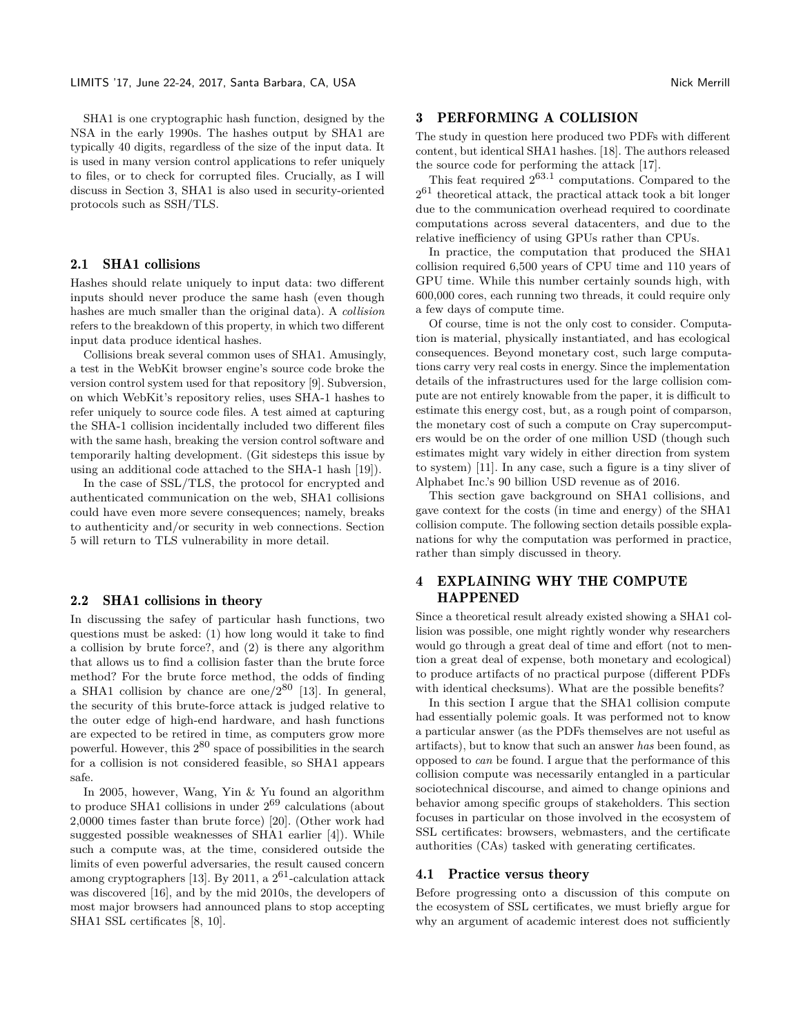SHA1 is one cryptographic hash function, designed by the NSA in the early 1990s. The hashes output by SHA1 are typically 40 digits, regardless of the size of the input data. It is used in many version control applications to refer uniquely to files, or to check for corrupted files. Crucially, as I will discuss in Section 3, SHA1 is also used in security-oriented protocols such as SSH/TLS.

#### 2.1 SHA1 collisions

Hashes should relate uniquely to input data: two different inputs should never produce the same hash (even though hashes are much smaller than the original data). A *collision* refers to the breakdown of this property, in which two different input data produce identical hashes.

Collisions break several common uses of SHA1. Amusingly, a test in the WebKit browser engine's source code broke the version control system used for that repository [\[9\]](#page-5-5). Subversion, on which WebKit's repository relies, uses SHA-1 hashes to refer uniquely to source code files. A test aimed at capturing the SHA-1 collision incidentally included two different files with the same hash, breaking the version control software and temporarily halting development. (Git sidesteps this issue by using an additional code attached to the SHA-1 hash [\[19\]](#page-5-6)).

In the case of SSL/TLS, the protocol for encrypted and authenticated communication on the web, SHA1 collisions could have even more severe consequences; namely, breaks to authenticity and/or security in web connections. Section 5 will return to TLS vulnerability in more detail.

#### 2.2 SHA1 collisions in theory

In discussing the safey of particular hash functions, two questions must be asked: (1) how long would it take to find a collision by brute force?, and (2) is there any algorithm that allows us to find a collision faster than the brute force method? For the brute force method, the odds of finding a SHA1 collision by chance are one/ $2^{80}$  [\[13\]](#page-5-7). In general, the security of this brute-force attack is judged relative to the outer edge of high-end hardware, and hash functions are expected to be retired in time, as computers grow more powerful. However, this  $2^{80}$  space of possibilities in the search for a collision is not considered feasible, so SHA1 appears safe.

In 2005, however, Wang, Yin & Yu found an algorithm to produce SHA1 collisions in under  $2^{69}$  calculations (about 2,0000 times faster than brute force) [\[20\]](#page-5-8). (Other work had suggested possible weaknesses of SHA1 earlier [\[4\]](#page-5-9)). While such a compute was, at the time, considered outside the limits of even powerful adversaries, the result caused concern among cryptographers [\[13\]](#page-5-7). By 2011, a  $2^{61}$ -calculation attack was discovered [\[16\]](#page-5-10), and by the mid 2010s, the developers of most major browsers had announced plans to stop accepting SHA1 SSL certificates [\[8,](#page-5-11) [10\]](#page-5-12).

## 3 PERFORMING A COLLISION

The study in question here produced two PDFs with different content, but identical SHA1 hashes. [\[18\]](#page-5-13). The authors released the source code for performing the attack [\[17\]](#page-5-14).

This feat required  $2^{63.1}$  computations. Compared to the  $2^{61}$  theoretical attack, the practical attack took a bit longer due to the communication overhead required to coordinate computations across several datacenters, and due to the relative inefficiency of using GPUs rather than CPUs.

In practice, the computation that produced the SHA1 collision required 6,500 years of CPU time and 110 years of GPU time. While this number certainly sounds high, with 600,000 cores, each running two threads, it could require only a few days of compute time.

Of course, time is not the only cost to consider. Computation is material, physically instantiated, and has ecological consequences. Beyond monetary cost, such large computations carry very real costs in energy. Since the implementation details of the infrastructures used for the large collision compute are not entirely knowable from the paper, it is difficult to estimate this energy cost, but, as a rough point of comparson, the monetary cost of such a compute on Cray supercomputers would be on the order of one million USD (though such estimates might vary widely in either direction from system to system) [\[11\]](#page-5-15). In any case, such a figure is a tiny sliver of Alphabet Inc.'s 90 billion USD revenue as of 2016.

This section gave background on SHA1 collisions, and gave context for the costs (in time and energy) of the SHA1 collision compute. The following section details possible explanations for why the computation was performed in practice, rather than simply discussed in theory.

## 4 EXPLAINING WHY THE COMPUTE HAPPENED

Since a theoretical result already existed showing a SHA1 collision was possible, one might rightly wonder why researchers would go through a great deal of time and effort (not to mention a great deal of expense, both monetary and ecological) to produce artifacts of no practical purpose (different PDFs with identical checksums). What are the possible benefits?

In this section I argue that the SHA1 collision compute had essentially polemic goals. It was performed not to know a particular answer (as the PDFs themselves are not useful as artifacts), but to know that such an answer *has* been found, as opposed to *can* be found. I argue that the performance of this collision compute was necessarily entangled in a particular sociotechnical discourse, and aimed to change opinions and behavior among specific groups of stakeholders. This section focuses in particular on those involved in the ecosystem of SSL certificates: browsers, webmasters, and the certificate authorities (CAs) tasked with generating certificates.

#### 4.1 Practice versus theory

Before progressing onto a discussion of this compute on the ecosystem of SSL certificates, we must briefly argue for why an argument of academic interest does not sufficiently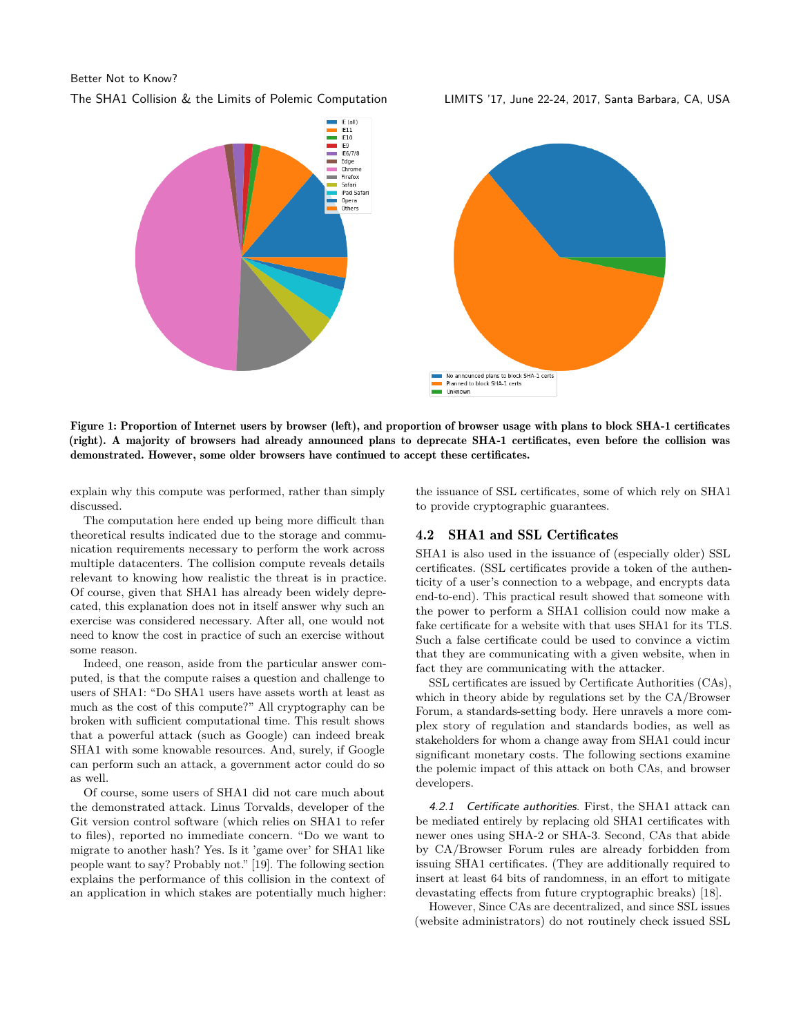#### Better Not to Know?

The SHA1 Collision & the Limits of Polemic Computation LIMITS '17, June 22-24, 2017, Santa Barbara, CA, USA



Figure 1: Proportion of Internet users by browser (left), and proportion of browser usage with plans to block SHA-1 certificates (right). A majority of browsers had already announced plans to deprecate SHA-1 certificates, even before the collision was demonstrated. However, some older browsers have continued to accept these certificates.

explain why this compute was performed, rather than simply discussed.

The computation here ended up being more difficult than theoretical results indicated due to the storage and communication requirements necessary to perform the work across multiple datacenters. The collision compute reveals details relevant to knowing how realistic the threat is in practice. Of course, given that SHA1 has already been widely deprecated, this explanation does not in itself answer why such an exercise was considered necessary. After all, one would not need to know the cost in practice of such an exercise without some reason.

Indeed, one reason, aside from the particular answer computed, is that the compute raises a question and challenge to users of SHA1: "Do SHA1 users have assets worth at least as much as the cost of this compute?" All cryptography can be broken with sufficient computational time. This result shows that a powerful attack (such as Google) can indeed break SHA1 with some knowable resources. And, surely, if Google can perform such an attack, a government actor could do so as well.

Of course, some users of SHA1 did not care much about the demonstrated attack. Linus Torvalds, developer of the Git version control software (which relies on SHA1 to refer to files), reported no immediate concern. "Do we want to migrate to another hash? Yes. Is it 'game over' for SHA1 like people want to say? Probably not." [\[19\]](#page-5-6). The following section explains the performance of this collision in the context of an application in which stakes are potentially much higher: the issuance of SSL certificates, some of which rely on SHA1 to provide cryptographic guarantees.

#### 4.2 SHA1 and SSL Certificates

SHA1 is also used in the issuance of (especially older) SSL certificates. (SSL certificates provide a token of the authenticity of a user's connection to a webpage, and encrypts data end-to-end). This practical result showed that someone with the power to perform a SHA1 collision could now make a fake certificate for a website with that uses SHA1 for its TLS. Such a false certificate could be used to convince a victim that they are communicating with a given website, when in fact they are communicating with the attacker.

SSL certificates are issued by Certificate Authorities (CAs), which in theory abide by regulations set by the CA/Browser Forum, a standards-setting body. Here unravels a more complex story of regulation and standards bodies, as well as stakeholders for whom a change away from SHA1 could incur significant monetary costs. The following sections examine the polemic impact of this attack on both CAs, and browser developers.

4.2.1 Certificate authorities. First, the SHA1 attack can be mediated entirely by replacing old SHA1 certificates with newer ones using SHA-2 or SHA-3. Second, CAs that abide by CA/Browser Forum rules are already forbidden from issuing SHA1 certificates. (They are additionally required to insert at least 64 bits of randomness, in an effort to mitigate devastating effects from future cryptographic breaks) [\[18\]](#page-5-13).

However, Since CAs are decentralized, and since SSL issues (website administrators) do not routinely check issued SSL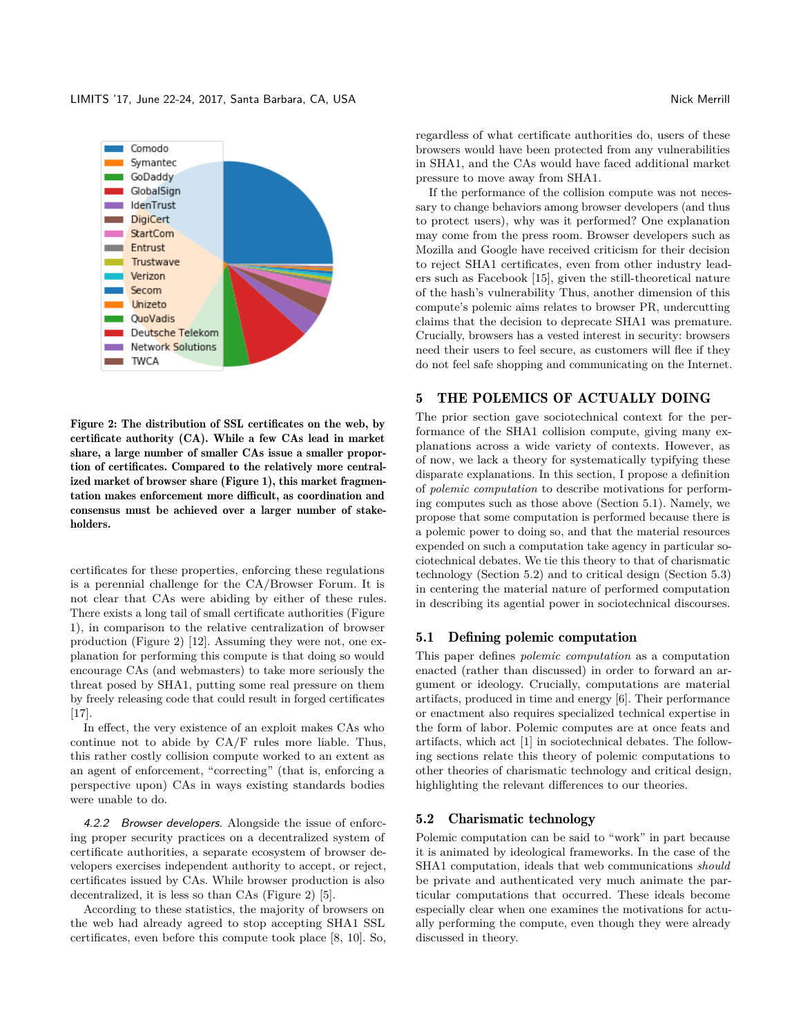

Figure 2: The distribution of SSL certificates on the web, by certificate authority (CA). While a few CAs lead in market share, a large number of smaller CAs issue a smaller proportion of certificates. Compared to the relatively more centralized market of browser share (Figure 1), this market fragmentation makes enforcement more difficult, as coordination and consensus must be achieved over a larger number of stakeholders.

certificates for these properties, enforcing these regulations is a perennial challenge for the CA/Browser Forum. It is not clear that CAs were abiding by either of these rules. There exists a long tail of small certificate authorities (Figure 1), in comparison to the relative centralization of browser production (Figure 2) [\[12\]](#page-5-16). Assuming they were not, one explanation for performing this compute is that doing so would encourage CAs (and webmasters) to take more seriously the threat posed by SHA1, putting some real pressure on them by freely releasing code that could result in forged certificates [\[17\]](#page-5-14).

In effect, the very existence of an exploit makes CAs who continue not to abide by CA/F rules more liable. Thus, this rather costly collision compute worked to an extent as an agent of enforcement, "correcting" (that is, enforcing a perspective upon) CAs in ways existing standards bodies were unable to do.

4.2.2 Browser developers. Alongside the issue of enforcing proper security practices on a decentralized system of certificate authorities, a separate ecosystem of browser developers exercises independent authority to accept, or reject, certificates issued by CAs. While browser production is also decentralized, it is less so than CAs (Figure 2) [\[5\]](#page-5-17).

According to these statistics, the majority of browsers on the web had already agreed to stop accepting SHA1 SSL certificates, even before this compute took place [\[8,](#page-5-11) [10\]](#page-5-12). So, regardless of what certificate authorities do, users of these browsers would have been protected from any vulnerabilities in SHA1, and the CAs would have faced additional market pressure to move away from SHA1.

If the performance of the collision compute was not necessary to change behaviors among browser developers (and thus to protect users), why was it performed? One explanation may come from the press room. Browser developers such as Mozilla and Google have received criticism for their decision to reject SHA1 certificates, even from other industry leaders such as Facebook [\[15\]](#page-5-18), given the still-theoretical nature of the hash's vulnerability Thus, another dimension of this compute's polemic aims relates to browser PR, undercutting claims that the decision to deprecate SHA1 was premature. Crucially, browsers has a vested interest in security: browsers need their users to feel secure, as customers will flee if they do not feel safe shopping and communicating on the Internet.

## 5 THE POLEMICS OF ACTUALLY DOING

The prior section gave sociotechnical context for the performance of the SHA1 collision compute, giving many explanations across a wide variety of contexts. However, as of now, we lack a theory for systematically typifying these disparate explanations. In this section, I propose a definition of *polemic computation* to describe motivations for performing computes such as those above (Section 5.1). Namely, we propose that some computation is performed because there is a polemic power to doing so, and that the material resources expended on such a computation take agency in particular sociotechnical debates. We tie this theory to that of charismatic technology (Section 5.2) and to critical design (Section 5.3) in centering the material nature of performed computation in describing its agential power in sociotechnical discourses.

#### 5.1 Defining polemic computation

This paper defines *polemic computation* as a computation enacted (rather than discussed) in order to forward an argument or ideology. Crucially, computations are material artifacts, produced in time and energy [\[6\]](#page-5-19). Their performance or enactment also requires specialized technical expertise in the form of labor. Polemic computes are at once feats and artifacts, which act [\[1\]](#page-5-2) in sociotechnical debates. The following sections relate this theory of polemic computations to other theories of charismatic technology and critical design, highlighting the relevant differences to our theories.

#### 5.2 Charismatic technology

Polemic computation can be said to "work" in part because it is animated by ideological frameworks. In the case of the SHA1 computation, ideals that web communications *should* be private and authenticated very much animate the particular computations that occurred. These ideals become especially clear when one examines the motivations for actually performing the compute, even though they were already discussed in theory.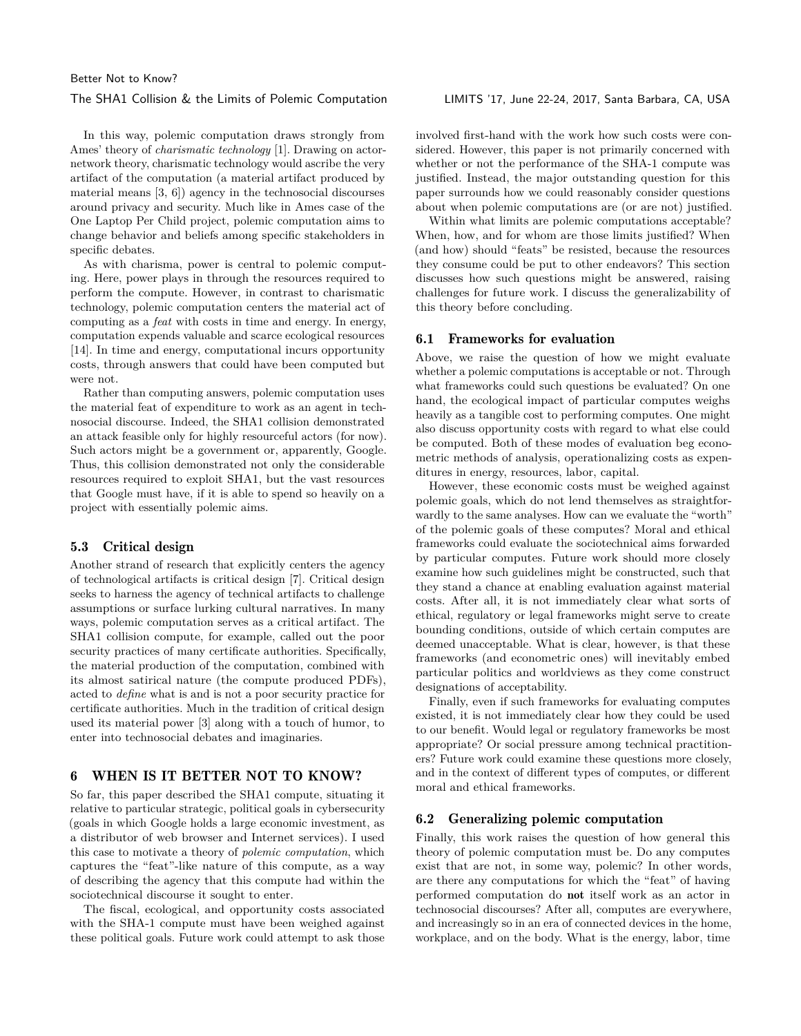#### The SHA1 Collision & the Limits of Polemic Computation LIMITS '17, June 22-24, 2017, Santa Barbara, CA, USA

In this way, polemic computation draws strongly from Ames' theory of *charismatic technology* [\[1\]](#page-5-2). Drawing on actornetwork theory, charismatic technology would ascribe the very artifact of the computation (a material artifact produced by material means [\[3,](#page-5-3) [6\]](#page-5-19)) agency in the technosocial discourses around privacy and security. Much like in Ames case of the One Laptop Per Child project, polemic computation aims to change behavior and beliefs among specific stakeholders in specific debates.

As with charisma, power is central to polemic computing. Here, power plays in through the resources required to perform the compute. However, in contrast to charismatic technology, polemic computation centers the material act of computing as a *feat* with costs in time and energy. In energy, computation expends valuable and scarce ecological resources [\[14\]](#page-5-20). In time and energy, computational incurs opportunity costs, through answers that could have been computed but were not.

Rather than computing answers, polemic computation uses the material feat of expenditure to work as an agent in technosocial discourse. Indeed, the SHA1 collision demonstrated an attack feasible only for highly resourceful actors (for now). Such actors might be a government or, apparently, Google. Thus, this collision demonstrated not only the considerable resources required to exploit SHA1, but the vast resources that Google must have, if it is able to spend so heavily on a project with essentially polemic aims.

## 5.3 Critical design

Another strand of research that explicitly centers the agency of technological artifacts is critical design [\[7\]](#page-5-21). Critical design seeks to harness the agency of technical artifacts to challenge assumptions or surface lurking cultural narratives. In many ways, polemic computation serves as a critical artifact. The SHA1 collision compute, for example, called out the poor security practices of many certificate authorities. Specifically, the material production of the computation, combined with its almost satirical nature (the compute produced PDFs), acted to *define* what is and is not a poor security practice for certificate authorities. Much in the tradition of critical design used its material power [\[3\]](#page-5-3) along with a touch of humor, to enter into technosocial debates and imaginaries.

## 6 WHEN IS IT BETTER NOT TO KNOW?

So far, this paper described the SHA1 compute, situating it relative to particular strategic, political goals in cybersecurity (goals in which Google holds a large economic investment, as a distributor of web browser and Internet services). I used this case to motivate a theory of *polemic computation*, which captures the "feat"-like nature of this compute, as a way of describing the agency that this compute had within the sociotechnical discourse it sought to enter.

The fiscal, ecological, and opportunity costs associated with the SHA-1 compute must have been weighed against these political goals. Future work could attempt to ask those involved first-hand with the work how such costs were considered. However, this paper is not primarily concerned with whether or not the performance of the SHA-1 compute was justified. Instead, the major outstanding question for this paper surrounds how we could reasonably consider questions about when polemic computations are (or are not) justified.

Within what limits are polemic computations acceptable? When, how, and for whom are those limits justified? When (and how) should "feats" be resisted, because the resources they consume could be put to other endeavors? This section discusses how such questions might be answered, raising challenges for future work. I discuss the generalizability of this theory before concluding.

#### 6.1 Frameworks for evaluation

Above, we raise the question of how we might evaluate whether a polemic computations is acceptable or not. Through what frameworks could such questions be evaluated? On one hand, the ecological impact of particular computes weighs heavily as a tangible cost to performing computes. One might also discuss opportunity costs with regard to what else could be computed. Both of these modes of evaluation beg econometric methods of analysis, operationalizing costs as expenditures in energy, resources, labor, capital.

However, these economic costs must be weighed against polemic goals, which do not lend themselves as straightforwardly to the same analyses. How can we evaluate the "worth" of the polemic goals of these computes? Moral and ethical frameworks could evaluate the sociotechnical aims forwarded by particular computes. Future work should more closely examine how such guidelines might be constructed, such that they stand a chance at enabling evaluation against material costs. After all, it is not immediately clear what sorts of ethical, regulatory or legal frameworks might serve to create bounding conditions, outside of which certain computes are deemed unacceptable. What is clear, however, is that these frameworks (and econometric ones) will inevitably embed particular politics and worldviews as they come construct designations of acceptability.

Finally, even if such frameworks for evaluating computes existed, it is not immediately clear how they could be used to our benefit. Would legal or regulatory frameworks be most appropriate? Or social pressure among technical practitioners? Future work could examine these questions more closely, and in the context of different types of computes, or different moral and ethical frameworks.

## 6.2 Generalizing polemic computation

Finally, this work raises the question of how general this theory of polemic computation must be. Do any computes exist that are not, in some way, polemic? In other words, are there any computations for which the "feat" of having performed computation do not itself work as an actor in technosocial discourses? After all, computes are everywhere, and increasingly so in an era of connected devices in the home, workplace, and on the body. What is the energy, labor, time